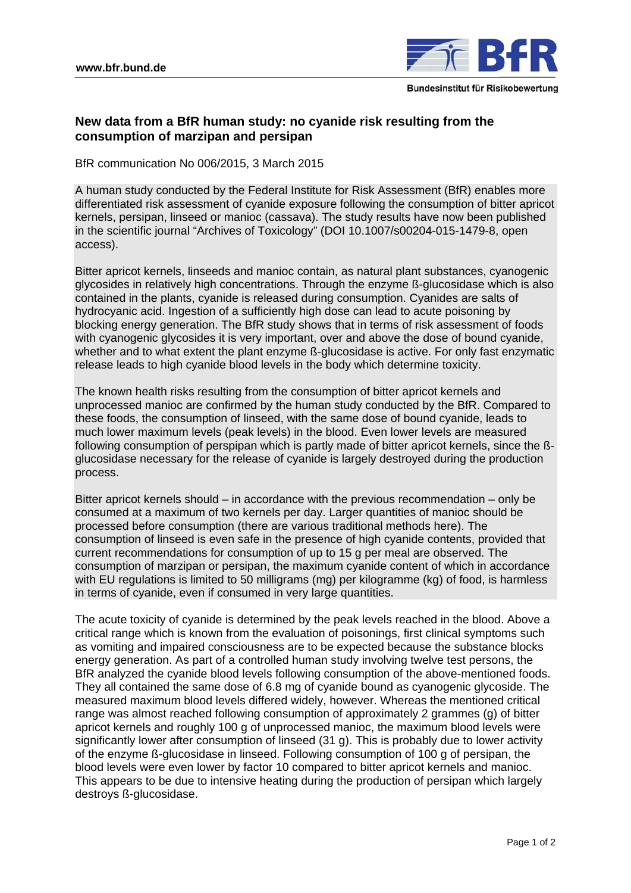

## **New data from a BfR human study: no cyanide risk resulting from the consumption of marzipan and persipan**

BfR communication No 006/2015, 3 March 2015

A human study conducted by the Federal Institute for Risk Assessment (BfR) enables more differentiated risk assessment of cyanide exposure following the consumption of bitter apricot kernels, persipan, linseed or manioc (cassava). The study results have now been published in the scientific journal "Archives of Toxicology" (DOI 10.1007/s00204-015-1479-8, open access).

Bitter apricot kernels, linseeds and manioc contain, as natural plant substances, cyanogenic glycosides in relatively high concentrations. Through the enzyme ß-glucosidase which is also contained in the plants, cyanide is released during consumption. Cyanides are salts of [hydrocyanic](http://dict.leo.org/ende/index_de.html#/search=hydrocyanic&searchLoc=0&resultOrder=basic&multiwordShowSingle=on) [acid.](http://dict.leo.org/ende/index_de.html#/search=acid&searchLoc=0&resultOrder=basic&multiwordShowSingle=on) Ingestion of a sufficiently high dose can lead to acute poisoning by blocking energy generation. The BfR study shows that in terms of risk assessment of foods with cyanogenic glycosides it is very important, over and above the dose of bound cyanide, whether and to what extent the plant enzyme ß-glucosidase is active. For only fast enzymatic release leads to high cyanide blood levels in the body which determine toxicity.

The known health risks resulting from the consumption of bitter apricot kernels and unprocessed manioc are confirmed by the human study conducted by the BfR. Compared to these foods, the consumption of linseed, with the same dose of bound cyanide, leads to much lower maximum levels (peak levels) in the blood. Even lower levels are measured following consumption of perspipan which is partly made of bitter apricot kernels, since the ßglucosidase necessary for the release of cyanide is largely destroyed during the production process.

Bitter apricot kernels should – in accordance with the previous recommendation – only be consumed at a maximum of two kernels per day. Larger quantities of manioc should be processed before consumption (there are various traditional methods here). The consumption of linseed is even safe in the presence of high cyanide contents, provided that current recommendations for consumption of up to 15 g per meal are observed. The consumption of marzipan or persipan, the maximum cyanide content of which in accordance with EU regulations is limited to 50 milligrams (mg) per kilogramme (kg) of food, is harmless in terms of cyanide, even if consumed in very large quantities.

The acute toxicity of cyanide is determined by the peak levels reached in the blood. Above a critical range which is known from the evaluation of poisonings, first clinical symptoms such as vomiting and impaired consciousness are to be expected because the substance blocks energy generation. As part of a controlled human study involving twelve test persons, the BfR analyzed the cyanide blood levels following consumption of the above-mentioned foods. They all contained the same dose of 6.8 mg of cyanide bound as cyanogenic glycoside. The measured maximum blood levels differed widely, however. Whereas the mentioned critical range was almost reached following consumption of approximately 2 grammes (g) of bitter apricot kernels and roughly 100 g of unprocessed manioc, the maximum blood levels were significantly lower after consumption of linseed (31 g). This is probably due to lower activity of the enzyme ß-glucosidase in linseed. Following consumption of 100 g of persipan, the blood levels were even lower by factor 10 compared to bitter apricot kernels and manioc. This appears to be due to intensive heating during the production of persipan which largely destroys ß-glucosidase.